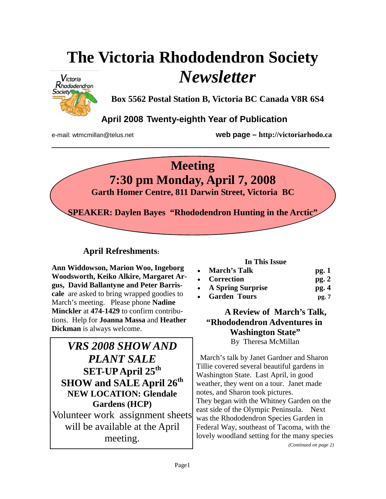# **The Victoria Rhododendron Society**  *Newsletter*



**Box 5562 Postal Station B, Victoria BC Canada V8R 6S4** 

# **April 2008 Twenty-eighth Year of Publication**

e-mail: wtmcmillan@telus.net **web page – http://victoriarhodo.ca**

# **Meeting**

**\_\_\_\_\_\_\_\_\_\_\_\_\_\_\_\_\_\_\_\_\_\_\_\_\_\_\_\_\_\_\_\_\_\_\_\_\_\_\_\_\_\_\_\_\_\_\_\_\_\_\_\_\_\_\_\_\_\_\_\_\_\_\_** 

**7:30 pm Monday, April 7, 2008** 

**Garth Homer Centre, 811 Darwin Street, Victoria BC** 

**SPEAKER: Daylen Bayes "Rhododendron Hunting in the Arctic"** 

# **April Refreshments:**

**Ann Widdowson, Marion Woo, Ingeborg Woodsworth, Keiko Alkire, Margaret Argus, David Ballantyne and Peter Barriscale** are asked to bring wrapped goodies to March's meeting. Please phone **Nadine Minckler** at **474-1429** to confirm contributions. Help for **Joanna Massa** and **Heather Dickman** is always welcome.



#### **In This Issue**

| • March's Talk      | pg.1  |
|---------------------|-------|
| • Correction        | pg.2  |
| • A Spring Surprise | pg.4  |
| • Garden Tours      | pg. 7 |

## **A Review of March's Talk, "Rhododendron Adventures in Washington State"**  By Theresa McMillan

 March's talk by Janet Gardner and Sharon Tillie covered several beautiful gardens in Washington State. Last April, in good weather, they went on a tour. Janet made notes, and Sharon took pictures. They began with the Whitney Garden on the east side of the Olympic Peninsula. Next was the Rhododendron Species Garden in Federal Way, southeast of Tacoma, with the lovely woodland setting for the many species

*(Continued on page 2)*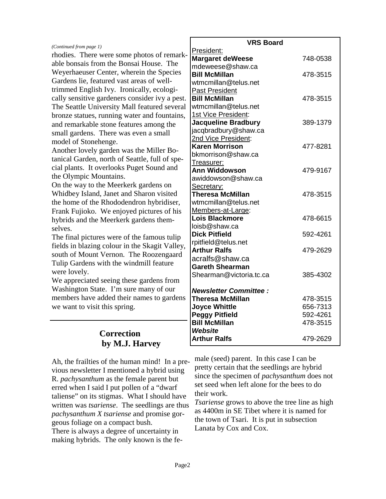|                                                | <b>VRS Board</b>                              |                      |
|------------------------------------------------|-----------------------------------------------|----------------------|
| (Continued from page 1)                        | President:                                    |                      |
| rhodies. There were some photos of remark-     | <b>Margaret deWeese</b>                       | 748-0538             |
| able bonsais from the Bonsai House. The        | mdeweese@shaw.ca                              |                      |
| Weyerhaeuser Center, wherein the Species       | <b>Bill McMillan</b>                          | 478-3515             |
| Gardens lie, featured vast areas of well-      | wtmcmillan@telus.net                          |                      |
| trimmed English Ivy. Ironically, ecologi-      | Past President                                |                      |
| cally sensitive gardeners consider ivy a pest. | <b>Bill McMillan</b>                          | 478-3515             |
| The Seattle University Mall featured several   | wtmcmillan@telus.net                          |                      |
| bronze statues, running water and fountains,   | 1st Vice President:                           |                      |
| and remarkable stone features among the        | <b>Jacqueline Bradbury</b>                    | 389-1379             |
| small gardens. There was even a small          | jacqbradbury@shaw.ca                          |                      |
| model of Stonehenge.                           | 2nd Vice President:                           |                      |
| Another lovely garden was the Miller Bo-       | <b>Karen Morrison</b>                         | 477-8281             |
| tanical Garden, north of Seattle, full of spe- | bkmorrison@shaw.ca                            |                      |
| cial plants. It overlooks Puget Sound and      | <u>Treasurer:</u>                             |                      |
|                                                | <b>Ann Widdowson</b>                          | 479-9167             |
| the Olympic Mountains.                         | awiddowson@shaw.ca                            |                      |
| On the way to the Meerkerk gardens on          | Secretary:                                    |                      |
| Whidbey Island, Janet and Sharon visited       | <b>Theresa McMillan</b>                       | 478-3515             |
| the home of the Rhododendron hybridiser,       | wtmcmillan@telus.net                          |                      |
| Frank Fujioko. We enjoyed pictures of his      | Members-at-Large:                             |                      |
| hybrids and the Meerkerk gardens them-         | <b>Lois Blackmore</b>                         | 478-6615             |
| selves.                                        | loisb@shaw.ca                                 |                      |
| The final pictures were of the famous tulip    | <b>Dick Pitfield</b>                          | 592-4261             |
| fields in blazing colour in the Skagit Valley, | rpitfield@telus.net                           |                      |
| south of Mount Vernon. The Roozengaard         | <b>Arthur Ralfs</b>                           | 479-2629             |
| Tulip Gardens with the windmill feature        | acralfs@shaw.ca                               |                      |
| were lovely.                                   | <b>Gareth Shearman</b>                        |                      |
| We appreciated seeing these gardens from       | Shearman@victoria.tc.ca                       | 385-4302             |
| Washington State. I'm sure many of our         | <b>Newsletter Committee:</b>                  |                      |
| members have added their names to gardens      |                                               |                      |
|                                                | <b>Theresa McMillan</b>                       | 478-3515             |
| we want to visit this spring.                  | <b>Joyce Whittle</b>                          | 656-7313             |
|                                                | <b>Peggy Pitfield</b><br><b>Bill McMillan</b> | 592-4261<br>478-3515 |
|                                                | <b>Website</b>                                |                      |
| <b>Correction</b>                              | <b>Arthur Ralfs</b>                           | 479-2629             |
| by M.J. Harvey                                 |                                               |                      |

Ah, the frailties of the human mind! In a previous newsletter I mentioned a hybrid using R. *pachysanthum* as the female parent but erred when I said I put pollen of a "dwarf taliense" on its stigmas. What I should have written was *tsariense*. The seedlings are thus *pachysanthum X tsariense* and promise gorgeous foliage on a compact bush. There is always a degree of uncertainty in making hybrids. The only known is the fe-

male (seed) parent. In this case I can be pretty certain that the seedlings are hybrid since the specimen of *pachysanthum* does not set seed when left alone for the bees to do their work.

*Tsariense* grows to above the tree line as high as 4400m in SE Tibet where it is named for the town of Tsari. It is put in subsection Lanata by Cox and Cox.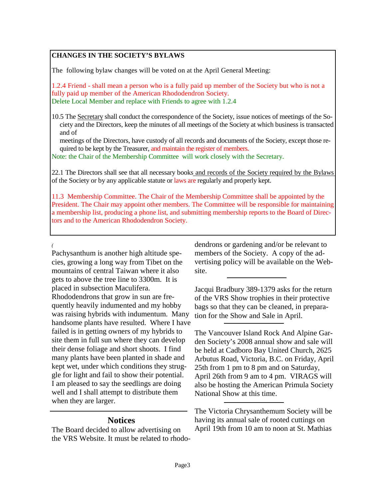#### **CHANGES IN THE SOCIETY'S BYLAWS**

The following bylaw changes will be voted on at the April General Meeting:

1.2.4 Friend - shall mean a person who is a fully paid up member of the Society but who is not a fully paid up member of the American Rhododendron Society. Delete Local Member and replace with Friends to agree with 1.2.4

10.5 The Secretary shall conduct the correspondence of the Society, issue notices of meetings of the Society and the Directors, keep the minutes of all meetings of the Society at which business is transacted and of

 meetings of the Directors, have custody of all records and documents of the Society, except those required to be kept by the Treasurer, and maintain the register of members.

Note: the Chair of the Membership Committee will work closely with the Secretary.

22.1 The Directors shall see that all necessary books and records of the Society required by the Bylaws of the Society or by any applicable statute or laws are regularly and properly kept.

11.3 Membership Committee. The Chair of the Membership Committee shall be appointed by the President. The Chair may appoint other members. The Committee will be responsible for maintaining a membership list, producing a phone list, and submitting membership reports to the Board of Directors and to the American Rhododendron Society.

#### *(*

Pachysanthum is another high altitude species, growing a long way from Tibet on the mountains of central Taiwan where it also gets to above the tree line to 3300m. It is placed in subsection Maculifera. Rhododendrons that grow in sun are frequently heavily indumented and my hobby was raising hybrids with indumentum. Many handsome plants have resulted. Where I have failed is in getting owners of my hybrids to site them in full sun where they can develop their dense foliage and short shoots. I find many plants have been planted in shade and kept wet, under which conditions they struggle for light and fail to show their potential. I am pleased to say the seedlings are doing well and I shall attempt to distribute them when they are larger.

#### **Notices**

The Board decided to allow advertising on the VRS Website. It must be related to rhododendrons or gardening and/or be relevant to members of the Society. A copy of the advertising policy will be available on the Website.

Jacqui Bradbury 389-1379 asks for the return of the VRS Show trophies in their protective bags so that they can be cleaned, in preparation for the Show and Sale in April.

The Vancouver Island Rock And Alpine Garden Society's 2008 annual show and sale will be held at Cadboro Bay United Church, 2625 Arbutus Road, Victoria, B.C. on Friday, April 25th from 1 pm to 8 pm and on Saturday, April 26th from 9 am to 4 pm. VIRAGS will also be hosting the American Primula Society National Show at this time.

The Victoria Chrysanthemum Society will be having its annual sale of rooted cuttings on April 19th from 10 am to noon at St. Mathias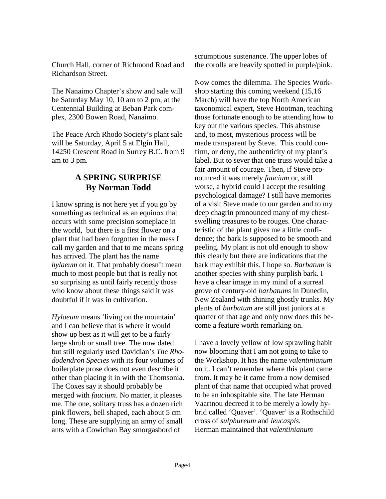Church Hall, corner of Richmond Road and Richardson Street.

The Nanaimo Chapter's show and sale will be Saturday May 10, 10 am to 2 pm, at the Centennial Building at Beban Park complex, 2300 Bowen Road, Nanaimo.

The Peace Arch Rhodo Society's plant sale will be Saturday, April 5 at Elgin Hall, 14250 Crescent Road in Surrey B.C. from 9 am to 3 pm.

## **A SPRING SURPRISE By Norman Todd**

I know spring is not here yet if you go by something as technical as an equinox that occurs with some precision someplace in the world, but there is a first flower on a plant that had been forgotten in the mess I call my garden and that to me means spring has arrived. The plant has the name *hylaeum* on it. That probably doesn't mean much to most people but that is really not so surprising as until fairly recently those who know about these things said it was doubtful if it was in cultivation.

*Hylaeum* means 'living on the mountain' and I can believe that is where it would show up best as it will get to be a fairly large shrub or small tree. The now dated but still regularly used Davidian's *The Rhododendron Species* with its four volumes of boilerplate prose does not even describe it other than placing it in with the Thomsonia. The Coxes say it should probably be merged with *faucium*. No matter, it pleases me. The one, solitary truss has a dozen rich pink flowers, bell shaped, each about 5 cm long. These are supplying an army of small ants with a Cowichan Bay smorgasbord of

scrumptious sustenance. The upper lobes of the corolla are heavily spotted in purple/pink.

Now comes the dilemma. The Species Workshop starting this coming weekend (15,16 March) will have the top North American taxonomical expert, Steve Hootman, teaching those fortunate enough to be attending how to key out the various species. This abstruse and, to most, mysterious process will be made transparent by Steve. This could confirm, or deny, the authenticity of my plant's label. But to sever that one truss would take a fair amount of courage. Then, if Steve pronounced it was merely *faucium* or, still worse, a hybrid could I accept the resulting psychological damage? I still have memories of a visit Steve made to our garden and to my deep chagrin pronounced many of my chestswelling treasures to be rouges. One characteristic of the plant gives me a little confidence; the bark is supposed to be smooth and peeling. My plant is not old enough to show this clearly but there are indications that the bark may exhibit this. I hope so. *Barbatum* is another species with shiny purplish bark. I have a clear image in my mind of a surreal grove of century-old *barbatums* in Dunedin, New Zealand with shining ghostly trunks. My plants of *barbatum* are still just juniors at a quarter of that age and only now does this become a feature worth remarking on.

I have a lovely yellow of low sprawling habit now blooming that I am not going to take to the Workshop. It has the name *valentinianum* on it. I can't remember where this plant came from. It may be it came from a now demised plant of that name that occupied what proved to be an inhospitable site. The late Herman Vaartnou decreed it to be merely a lowly hybrid called 'Quaver'. 'Quaver' is a Rothschild cross of *sulphureum* and *leucaspis.* Herman maintained that *valentinianum*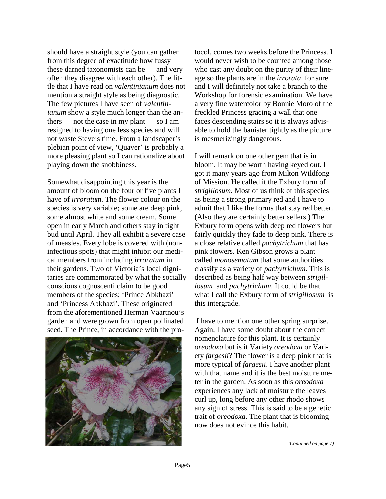should have a straight style (you can gather from this degree of exactitude how fussy these darned taxonomists can be — and very often they disagree with each other). The little that I have read on *valentinianum* does not mention a straight style as being diagnostic. The few pictures I have seen of *valentinianum* show a style much longer than the anthers — not the case in my plant — so I am resigned to having one less species and will not waste Steve's time. From a landscaper's plebian point of view, 'Quaver' is probably a more pleasing plant so I can rationalize about playing down the snobbiness.

Somewhat disappointing this year is the amount of bloom on the four or five plants I have of *irroratum*. The flower colour on the species is very variable; some are deep pink, some almost white and some cream. Some open in early March and others stay in tight bud until April. They all exhibit a severe case of measles. Every lobe is covered with (noninfectious spots) that might inhibit our medical members from including *irroratum* in their gardens. Two of Victoria's local dignitaries are commemorated by what the socially conscious cognoscenti claim to be good members of the species; 'Prince Abkhazi' and 'Princess Abkhazi'. These originated from the aforementioned Herman Vaartnou's garden and were grown from open pollinated seed. The Prince, in accordance with the pro-



tocol, comes two weeks before the Princess. I would never wish to be counted among those who cast any doubt on the purity of their lineage so the plants are in the *irrorata* for sure and I will definitely not take a branch to the Workshop for forensic examination. We have a very fine watercolor by Bonnie Moro of the freckled Princess gracing a wall that one faces descending stairs so it is always advisable to hold the banister tightly as the picture is mesmerizingly dangerous.

I will remark on one other gem that is in bloom. It may be worth having keyed out. I got it many years ago from Milton Wildfong of Mission. He called it the Exbury form of *strigillosum.* Most of us think of this species as being a strong primary red and I have to admit that I like the forms that stay red better. (Also they are certainly better sellers.) The Exbury form opens with deep red flowers but fairly quickly they fade to deep pink. There is a close relative called *pachytrichum* that has pink flowers. Ken Gibson grows a plant called *monosematum* that some authorities classify as a variety of *pachytrichum*. This is described as being half way between *strigillosum* and *pachytrichum*. It could be that what I call the Exbury form of *strigillosum* is this intergrade.

 I have to mention one other spring surprise. Again, I have some doubt about the correct nomenclature for this plant. It is certainly *oreodoxa* but is it Variety *oreodoxa* or Variety *fargesii*? The flower is a deep pink that is more typical of *fargesii*. I have another plant with that name and it is the best moisture meter in the garden. As soon as this *oreodoxa*  experiences any lack of moisture the leaves curl up, long before any other rhodo shows any sign of stress. This is said to be a genetic trait of *oreodoxa*. The plant that is blooming now does not evince this habit.

*(Continued on page 7)*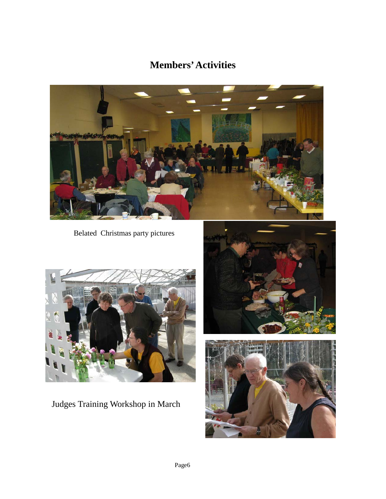# **Members' Activities**



Belated Christmas party pictures



Judges Training Workshop in March



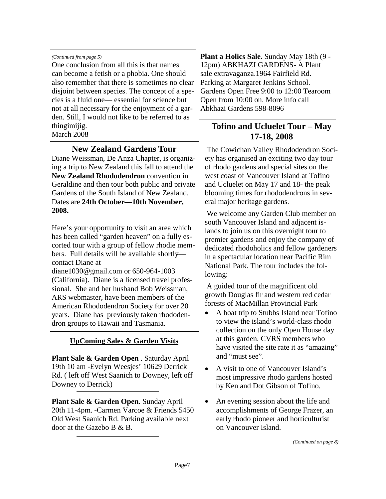#### *(Continued from page 5)*

One conclusion from all this is that names can become a fetish or a phobia. One should also remember that there is sometimes no clear disjoint between species. The concept of a species is a fluid one— essential for science but not at all necessary for the enjoyment of a garden. Still, I would not like to be referred to as thingimijig. March 2008

### **New Zealand Gardens Tour**

Diane Weissman, De Anza Chapter, is organizing a trip to New Zealand this fall to attend the **New Zealand Rhododendron** convention in Geraldine and then tour both public and private Gardens of the South Island of New Zealand. Dates are **24th October—10th November, 2008.**

Here's your opportunity to visit an area which has been called "garden heaven" on a fully escorted tour with a group of fellow rhodie members. Full details will be available shortly contact Diane at

diane1030@gmail.com or 650-964-1003 (California). Diane is a licensed travel professional. She and her husband Bob Weissman, ARS webmaster, have been members of the American Rhododendron Society for over 20 years. Diane has previously taken rhododendron groups to Hawaii and Tasmania.

## **UpComing Sales & Garden Visits**

**Plant Sale & Garden Open** . Saturday April 19th 10 am -Evelyn Weesjes' 10629 Derrick Rd. ( left off West Saanich to Downey, left off Downey to Derrick)

**Plant Sale & Garden Open**. Sunday April 20th 11-4pm. -Carmen Varcoe & Friends 5450 Old West Saanich Rd. Parking available next door at the Gazebo B & B.

**Plant a Holics Sale.** Sunday May 18th (9 - 12pm) ABKHAZI GARDENS- A Plant sale extravaganza.1964 Fairfield Rd. Parking at Margaret Jenkins School. Gardens Open Free 9:00 to 12:00 Tearoom Open from 10:00 on. More info call Abkhazi Gardens 598-8096

# **Tofino and Ucluelet Tour – May 17-18, 2008**

The Cowichan Valley Rhododendron Society has organised an exciting two day tour of rhodo gardens and special sites on the west coast of Vancouver Island at Tofino and Ucluelet on May 17 and 18- the peak blooming times for rhododendrons in several major heritage gardens.

 We welcome any Garden Club member on south Vancouver Island and adjacent islands to join us on this overnight tour to premier gardens and enjoy the company of dedicated rhodoholics and fellow gardeners in a spectacular location near Pacific Rim National Park. The tour includes the following:

 A guided tour of the magnificent old growth Douglas fir and western red cedar forests of MacMillan Provincial Park

- A boat trip to Stubbs Island near Tofino to view the island's world-class rhodo collection on the only Open House day at this garden. CVRS members who have visited the site rate it as "amazing" and "must see".
- A visit to one of Vancouver Island's most impressive rhodo gardens hosted by Ken and Dot Gibson of Tofino.
- An evening session about the life and accomplishments of George Frazer, an early rhodo pioneer and horticulturist on Vancouver Island.